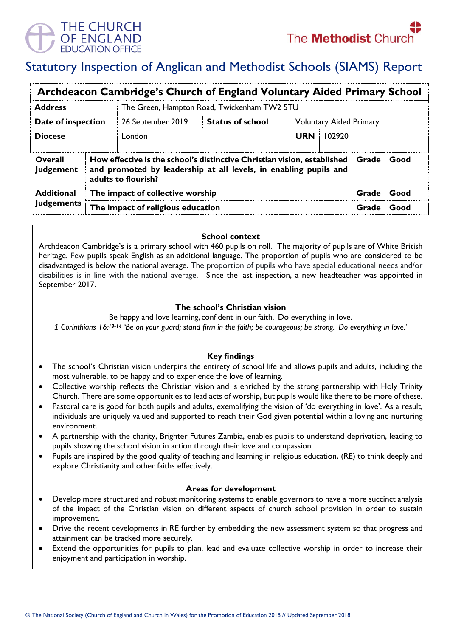

# Statutory Inspection of Anglican and Methodist Schools (SIAMS) Report

| Archdeacon Cambridge's Church of England Voluntary Aided Primary School |                                                                                                                                                                                     |                                             |                         |            |                                |      |  |  |
|-------------------------------------------------------------------------|-------------------------------------------------------------------------------------------------------------------------------------------------------------------------------------|---------------------------------------------|-------------------------|------------|--------------------------------|------|--|--|
| <b>Address</b>                                                          |                                                                                                                                                                                     | The Green, Hampton Road, Twickenham TW2 5TU |                         |            |                                |      |  |  |
| Date of inspection                                                      |                                                                                                                                                                                     | 26 September 2019                           | <b>Status of school</b> |            | <b>Voluntary Aided Primary</b> |      |  |  |
| <b>Diocese</b>                                                          |                                                                                                                                                                                     | London                                      |                         | <b>URN</b> | 102920                         |      |  |  |
| Overall<br><b>Judgement</b>                                             | How effective is the school's distinctive Christian vision, established<br>Good<br>Grade<br>and promoted by leadership at all levels, in enabling pupils and<br>adults to flourish? |                                             |                         |            |                                |      |  |  |
| <b>Additional</b><br><b>Judgements</b>                                  | The impact of collective worship                                                                                                                                                    |                                             |                         |            | Grade                          | Good |  |  |
|                                                                         | The impact of religious education                                                                                                                                                   |                                             |                         |            | Grade                          | Good |  |  |

#### **School context**

Archdeacon Cambridge's is a primary school with 460 pupils on roll. The majority of pupils are of White British heritage. Few pupils speak English as an additional language. The proportion of pupils who are considered to be disadvantaged is below the national average. The proportion of pupils who have special educational needs and/or disabilities is in line with the national average. Since the last inspection, a new headteacher was appointed in September 2017.

## **The school's Christian vision**

Be happy and love learning, confident in our faith. Do everything in love.

*1 Corinthians 16:13-14 'Be on your guard; stand firm in the faith; be courageous; be strong. Do everything in love.'*

# **Key findings**

- The school's Christian vision underpins the entirety of school life and allows pupils and adults, including the most vulnerable, to be happy and to experience the love of learning.
- Collective worship reflects the Christian vision and is enriched by the strong partnership with Holy Trinity Church. There are some opportunities to lead acts of worship, but pupils would like there to be more of these.
- Pastoral care is good for both pupils and adults, exemplifying the vision of 'do everything in love'. As a result, individuals are uniquely valued and supported to reach their God given potential within a loving and nurturing environment.
- A partnership with the charity, Brighter Futures Zambia, enables pupils to understand deprivation, leading to pupils showing the school vision in action through their love and compassion.
- Pupils are inspired by the good quality of teaching and learning in religious education, (RE) to think deeply and explore Christianity and other faiths effectively.

#### **Areas for development**

- Develop more structured and robust monitoring systems to enable governors to have a more succinct analysis of the impact of the Christian vision on different aspects of church school provision in order to sustain improvement.
- Drive the recent developments in RE further by embedding the new assessment system so that progress and attainment can be tracked more securely.
- Extend the opportunities for pupils to plan, lead and evaluate collective worship in order to increase their enjoyment and participation in worship.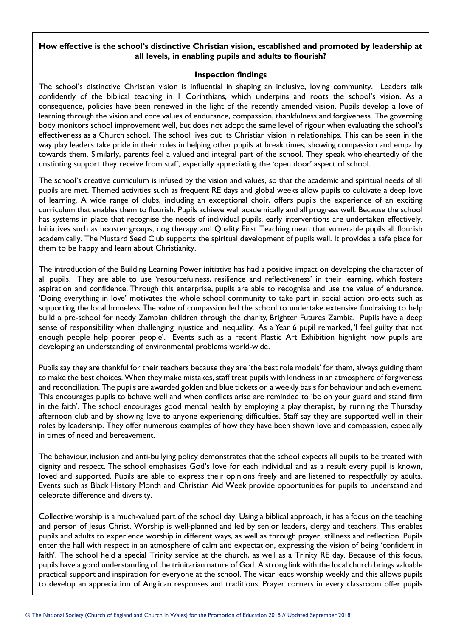## **How effective is the school's distinctive Christian vision, established and promoted by leadership at all levels, in enabling pupils and adults to flourish?**

### **Inspection findings**

The school's distinctive Christian vision is influential in shaping an inclusive, loving community. Leaders talk confidently of the biblical teaching in 1 Corinthians, which underpins and roots the school's vision. As a consequence, policies have been renewed in the light of the recently amended vision. Pupils develop a love of learning through the vision and core values of endurance, compassion, thankfulness and forgiveness. The governing body monitors school improvement well, but does not adopt the same level of rigour when evaluating the school's effectiveness as a Church school. The school lives out its Christian vision in relationships. This can be seen in the way play leaders take pride in their roles in helping other pupils at break times, showing compassion and empathy towards them. Similarly, parents feel a valued and integral part of the school. They speak wholeheartedly of the unstinting support they receive from staff, especially appreciating the 'open door' aspect of school.

The school's creative curriculum is infused by the vision and values, so that the academic and spiritual needs of all pupils are met. Themed activities such as frequent RE days and global weeks allow pupils to cultivate a deep love of learning. A wide range of clubs, including an exceptional choir, offers pupils the experience of an exciting curriculum that enables them to flourish. Pupils achieve well academically and all progress well. Because the school has systems in place that recognise the needs of individual pupils, early interventions are undertaken effectively. Initiatives such as booster groups, dog therapy and Quality First Teaching mean that vulnerable pupils all flourish academically. The Mustard Seed Club supports the spiritual development of pupils well. It provides a safe place for them to be happy and learn about Christianity.

The introduction of the Building Learning Power initiative has had a positive impact on developing the character of all pupils. They are able to use 'resourcefulness, resilience and reflectiveness' in their learning, which fosters aspiration and confidence. Through this enterprise, pupils are able to recognise and use the value of endurance. 'Doing everything in love' motivates the whole school community to take part in social action projects such as supporting the local homeless. The value of compassion led the school to undertake extensive fundraising to help build a pre-school for needy Zambian children through the charity, Brighter Futures Zambia. Pupils have a deep sense of responsibility when challenging injustice and inequality. As a Year 6 pupil remarked, 'I feel guilty that not enough people help poorer people'. Events such as a recent Plastic Art Exhibition highlight how pupils are developing an understanding of environmental problems world-wide.

Pupils say they are thankful for their teachers because they are 'the best role models' for them, always guiding them to make the best choices. When they make mistakes, staff treat pupils with kindness in an atmosphere of forgiveness and reconciliation. The pupils are awarded golden and blue tickets on a weekly basis for behaviour and achievement. This encourages pupils to behave well and when conflicts arise are reminded to 'be on your guard and stand firm in the faith'. The school encourages good mental health by employing a play therapist, by running the Thursday afternoon club and by showing love to anyone experiencing difficulties. Staff say they are supported well in their roles by leadership. They offer numerous examples of how they have been shown love and compassion, especially in times of need and bereavement.

The behaviour, inclusion and anti-bullying policy demonstrates that the school expects all pupils to be treated with dignity and respect. The school emphasises God's love for each individual and as a result every pupil is known, loved and supported. Pupils are able to express their opinions freely and are listened to respectfully by adults. Events such as Black History Month and Christian Aid Week provide opportunities for pupils to understand and celebrate difference and diversity.

Collective worship is a much-valued part of the school day. Using a biblical approach, it has a focus on the teaching and person of Jesus Christ. Worship is well-planned and led by senior leaders, clergy and teachers. This enables pupils and adults to experience worship in different ways, as well as through prayer, stillness and reflection. Pupils enter the hall with respect in an atmosphere of calm and expectation, expressing the vision of being 'confident in faith'. The school held a special Trinity service at the church, as well as a Trinity RE day. Because of this focus, pupils have a good understanding of the trinitarian nature of God. A strong link with the local church brings valuable practical support and inspiration for everyone at the school. The vicar leads worship weekly and this allows pupils to develop an appreciation of Anglican responses and traditions. Prayer corners in every classroom offer pupils